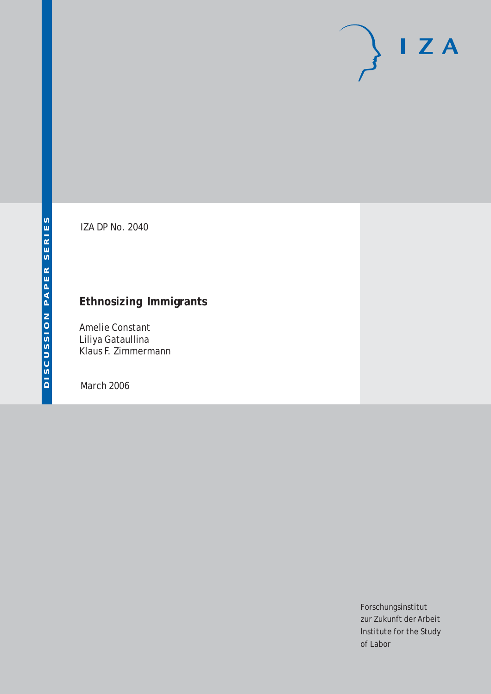# $\mathsf{I}$  Z A

IZA DP No. 2040

# **Ethnosizing Immigrants**

Amelie Constant Liliya Gataullina Klaus F. Zimmermann

March 2006

Forschungsinstitut zur Zukunft der Arbeit Institute for the Study of Labor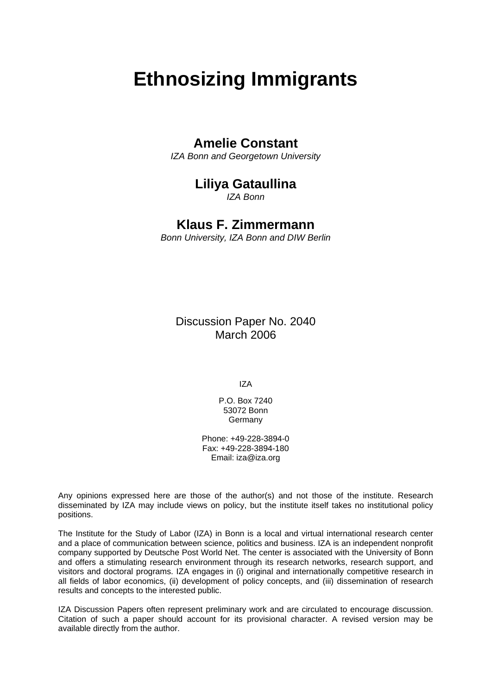# **Ethnosizing Immigrants**

# **Amelie Constant**

*IZA Bonn and Georgetown University* 

# **Liliya Gataullina**

*IZA Bonn* 

## **Klaus F. Zimmermann**

*Bonn University, IZA Bonn and DIW Berlin* 

Discussion Paper No. 2040 March 2006

IZA

P.O. Box 7240 53072 Bonn Germany

Phone: +49-228-3894-0 Fax: +49-228-3894-180 Email: [iza@iza.org](mailto:iza@iza.org)

Any opinions expressed here are those of the author(s) and not those of the institute. Research disseminated by IZA may include views on policy, but the institute itself takes no institutional policy positions.

The Institute for the Study of Labor (IZA) in Bonn is a local and virtual international research center and a place of communication between science, politics and business. IZA is an independent nonprofit company supported by Deutsche Post World Net. The center is associated with the University of Bonn and offers a stimulating research environment through its research networks, research support, and visitors and doctoral programs. IZA engages in (i) original and internationally competitive research in all fields of labor economics, (ii) development of policy concepts, and (iii) dissemination of research results and concepts to the interested public.

IZA Discussion Papers often represent preliminary work and are circulated to encourage discussion. Citation of such a paper should account for its provisional character. A revised version may be available directly from the author.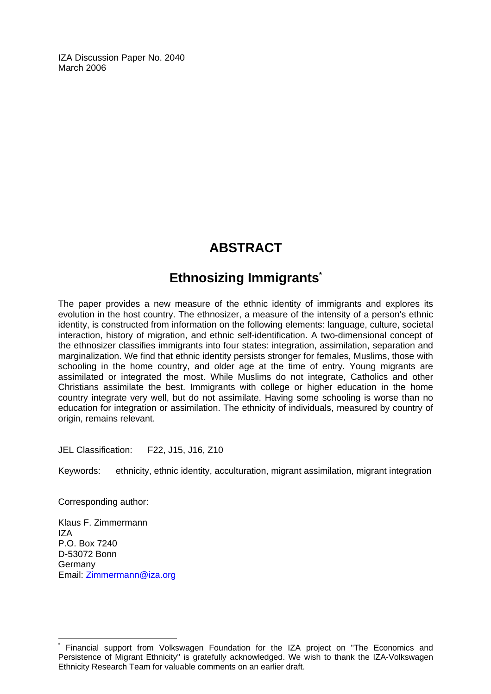IZA Discussion Paper No. 2040 March 2006

# **ABSTRACT**

# **Ethnosizing Immigrant[s\\*](#page-2-0)**

The paper provides a new measure of the ethnic identity of immigrants and explores its evolution in the host country. The ethnosizer, a measure of the intensity of a person's ethnic identity, is constructed from information on the following elements: language, culture, societal interaction, history of migration, and ethnic self-identification. A two-dimensional concept of the ethnosizer classifies immigrants into four states: integration, assimilation, separation and marginalization. We find that ethnic identity persists stronger for females, Muslims, those with schooling in the home country, and older age at the time of entry. Young migrants are assimilated or integrated the most. While Muslims do not integrate, Catholics and other Christians assimilate the best. Immigrants with college or higher education in the home country integrate very well, but do not assimilate. Having some schooling is worse than no education for integration or assimilation. The ethnicity of individuals, measured by country of origin, remains relevant.

JEL Classification: F22, J15, J16, Z10

Keywords: ethnicity, ethnic identity, acculturation, migrant assimilation, migrant integration

Corresponding author:

 $\overline{a}$ 

Klaus F. Zimmermann IZA P.O. Box 7240 D-53072 Bonn Germany Email: [Zimmermann@iza.org](mailto:Zimmermann@iza.org)

<span id="page-2-0"></span><sup>\*</sup> Financial support from Volkswagen Foundation for the IZA project on "The Economics and Persistence of Migrant Ethnicity" is gratefully acknowledged. We wish to thank the IZA-Volkswagen Ethnicity Research Team for valuable comments on an earlier draft.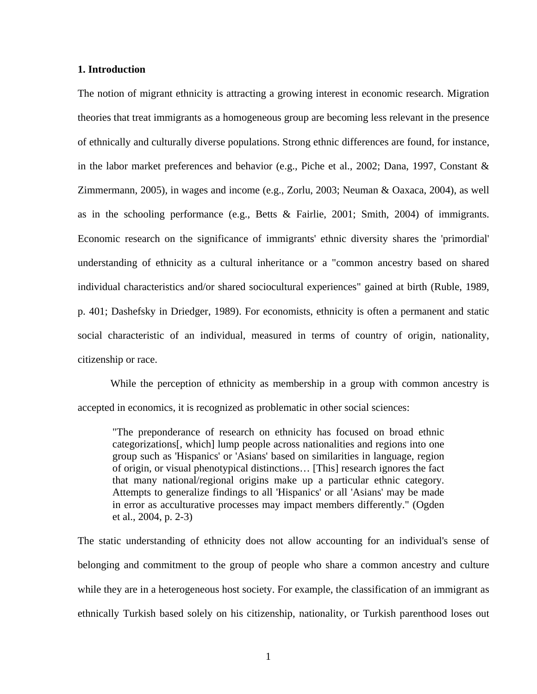### **1. Introduction**

The notion of migrant ethnicity is attracting a growing interest in economic research. Migration theories that treat immigrants as a homogeneous group are becoming less relevant in the presence of ethnically and culturally diverse populations. Strong ethnic differences are found, for instance, in the labor market preferences and behavior (e.g., Piche et al., 2002; Dana, 1997, Constant & Zimmermann, 2005), in wages and income (e.g., Zorlu, 2003; Neuman & Oaxaca, 2004), as well as in the schooling performance (e.g., Betts & Fairlie, 2001; Smith, 2004) of immigrants. Economic research on the significance of immigrants' ethnic diversity shares the 'primordial' understanding of ethnicity as a cultural inheritance or a "common ancestry based on shared individual characteristics and/or shared sociocultural experiences" gained at birth (Ruble, 1989, p. 401; Dashefsky in Driedger, 1989). For economists, ethnicity is often a permanent and static social characteristic of an individual, measured in terms of country of origin, nationality, citizenship or race.

While the perception of ethnicity as membership in a group with common ancestry is accepted in economics, it is recognized as problematic in other social sciences:

"The preponderance of research on ethnicity has focused on broad ethnic categorizations[, which] lump people across nationalities and regions into one group such as 'Hispanics' or 'Asians' based on similarities in language, region of origin, or visual phenotypical distinctions… [This] research ignores the fact that many national/regional origins make up a particular ethnic category. Attempts to generalize findings to all 'Hispanics' or all 'Asians' may be made in error as acculturative processes may impact members differently." (Ogden et al., 2004, p. 2-3)

The static understanding of ethnicity does not allow accounting for an individual's sense of belonging and commitment to the group of people who share a common ancestry and culture while they are in a heterogeneous host society. For example, the classification of an immigrant as ethnically Turkish based solely on his citizenship, nationality, or Turkish parenthood loses out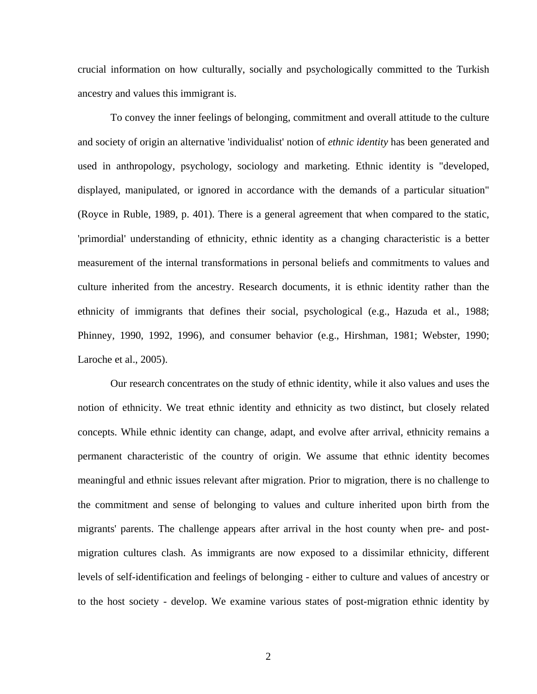crucial information on how culturally, socially and psychologically committed to the Turkish ancestry and values this immigrant is.

To convey the inner feelings of belonging, commitment and overall attitude to the culture and society of origin an alternative 'individualist' notion of *ethnic identity* has been generated and used in anthropology, psychology, sociology and marketing. Ethnic identity is "developed, displayed, manipulated, or ignored in accordance with the demands of a particular situation" (Royce in Ruble, 1989, p. 401). There is a general agreement that when compared to the static, 'primordial' understanding of ethnicity, ethnic identity as a changing characteristic is a better measurement of the internal transformations in personal beliefs and commitments to values and culture inherited from the ancestry. Research documents, it is ethnic identity rather than the ethnicity of immigrants that defines their social, psychological (e.g., Hazuda et al., 1988; Phinney, 1990, 1992, 1996), and consumer behavior (e.g., Hirshman, 1981; Webster, 1990; Laroche et al., 2005).

Our research concentrates on the study of ethnic identity, while it also values and uses the notion of ethnicity. We treat ethnic identity and ethnicity as two distinct, but closely related concepts. While ethnic identity can change, adapt, and evolve after arrival, ethnicity remains a permanent characteristic of the country of origin. We assume that ethnic identity becomes meaningful and ethnic issues relevant after migration. Prior to migration, there is no challenge to the commitment and sense of belonging to values and culture inherited upon birth from the migrants' parents. The challenge appears after arrival in the host county when pre- and postmigration cultures clash. As immigrants are now exposed to a dissimilar ethnicity, different levels of self-identification and feelings of belonging - either to culture and values of ancestry or to the host society - develop. We examine various states of post-migration ethnic identity by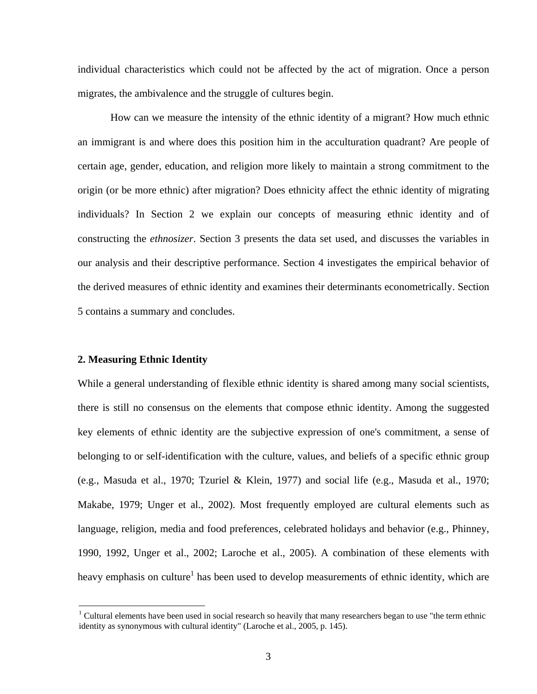individual characteristics which could not be affected by the act of migration. Once a person migrates, the ambivalence and the struggle of cultures begin.

How can we measure the intensity of the ethnic identity of a migrant? How much ethnic an immigrant is and where does this position him in the acculturation quadrant? Are people of certain age, gender, education, and religion more likely to maintain a strong commitment to the origin (or be more ethnic) after migration? Does ethnicity affect the ethnic identity of migrating individuals? In Section 2 we explain our concepts of measuring ethnic identity and of constructing the *ethnosizer*. Section 3 presents the data set used, and discusses the variables in our analysis and their descriptive performance. Section 4 investigates the empirical behavior of the derived measures of ethnic identity and examines their determinants econometrically. Section 5 contains a summary and concludes.

### **2. Measuring Ethnic Identity**

1

While a general understanding of flexible ethnic identity is shared among many social scientists, there is still no consensus on the elements that compose ethnic identity. Among the suggested key elements of ethnic identity are the subjective expression of one's commitment, a sense of belonging to or self-identification with the culture, values, and beliefs of a specific ethnic group (e.g., Masuda et al., 1970; Tzuriel & Klein, 1977) and social life (e.g., Masuda et al., 1970; Makabe, 1979; Unger et al., 2002). Most frequently employed are cultural elements such as language, religion, media and food preferences, celebrated holidays and behavior (e.g., Phinney, 1990, 1992, Unger et al., 2002; Laroche et al., 2005). A combination of these elements with heavy emphasis on culture<sup>[1](#page-5-0)</sup> has been used to develop measurements of ethnic identity, which are

<span id="page-5-0"></span> $1$  Cultural elements have been used in social research so heavily that many researchers began to use "the term ethnic identity as synonymous with cultural identity" (Laroche et al., 2005, p. 145).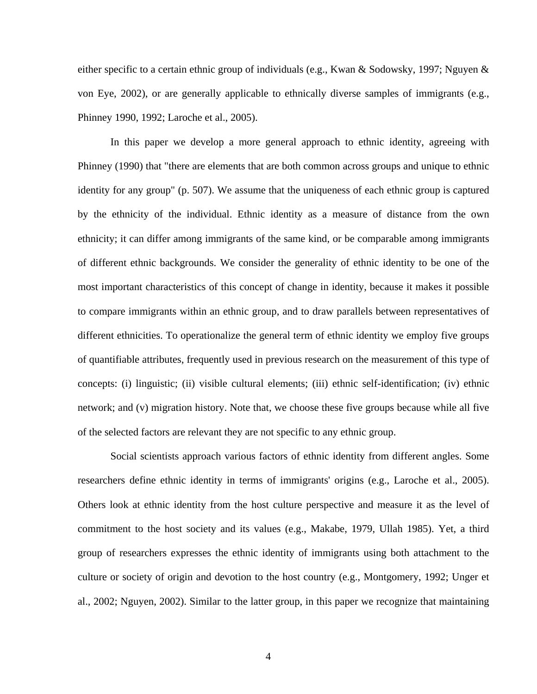either specific to a certain ethnic group of individuals (e.g., Kwan & Sodowsky, 1997; Nguyen & von Eye, 2002), or are generally applicable to ethnically diverse samples of immigrants (e.g., Phinney 1990, 1992; Laroche et al., 2005).

In this paper we develop a more general approach to ethnic identity, agreeing with Phinney (1990) that "there are elements that are both common across groups and unique to ethnic identity for any group" (p. 507). We assume that the uniqueness of each ethnic group is captured by the ethnicity of the individual. Ethnic identity as a measure of distance from the own ethnicity; it can differ among immigrants of the same kind, or be comparable among immigrants of different ethnic backgrounds. We consider the generality of ethnic identity to be one of the most important characteristics of this concept of change in identity, because it makes it possible to compare immigrants within an ethnic group, and to draw parallels between representatives of different ethnicities. To operationalize the general term of ethnic identity we employ five groups of quantifiable attributes, frequently used in previous research on the measurement of this type of concepts: (i) linguistic; (ii) visible cultural elements; (iii) ethnic self-identification; (iv) ethnic network; and (v) migration history. Note that, we choose these five groups because while all five of the selected factors are relevant they are not specific to any ethnic group.

Social scientists approach various factors of ethnic identity from different angles. Some researchers define ethnic identity in terms of immigrants' origins (e.g., Laroche et al., 2005). Others look at ethnic identity from the host culture perspective and measure it as the level of commitment to the host society and its values (e.g., Makabe, 1979, Ullah 1985). Yet, a third group of researchers expresses the ethnic identity of immigrants using both attachment to the culture or society of origin and devotion to the host country (e.g., Montgomery, 1992; Unger et al., 2002; Nguyen, 2002). Similar to the latter group, in this paper we recognize that maintaining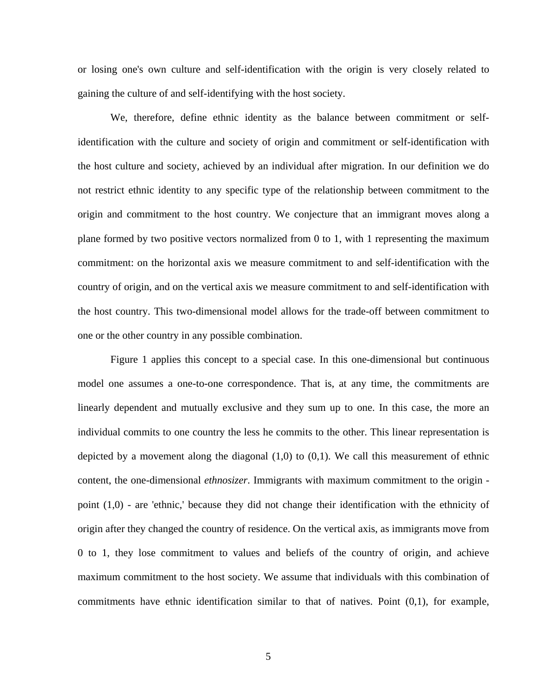or losing one's own culture and self-identification with the origin is very closely related to gaining the culture of and self-identifying with the host society.

We, therefore, define ethnic identity as the balance between commitment or selfidentification with the culture and society of origin and commitment or self-identification with the host culture and society, achieved by an individual after migration. In our definition we do not restrict ethnic identity to any specific type of the relationship between commitment to the origin and commitment to the host country. We conjecture that an immigrant moves along a plane formed by two positive vectors normalized from 0 to 1, with 1 representing the maximum commitment: on the horizontal axis we measure commitment to and self-identification with the country of origin, and on the vertical axis we measure commitment to and self-identification with the host country. This two-dimensional model allows for the trade-off between commitment to one or the other country in any possible combination.

Figure 1 applies this concept to a special case. In this one-dimensional but continuous model one assumes a one-to-one correspondence. That is, at any time, the commitments are linearly dependent and mutually exclusive and they sum up to one. In this case, the more an individual commits to one country the less he commits to the other. This linear representation is depicted by a movement along the diagonal  $(1,0)$  to  $(0,1)$ . We call this measurement of ethnic content, the one-dimensional *ethnosizer*. Immigrants with maximum commitment to the origin point (1,0) - are 'ethnic,' because they did not change their identification with the ethnicity of origin after they changed the country of residence. On the vertical axis, as immigrants move from 0 to 1, they lose commitment to values and beliefs of the country of origin, and achieve maximum commitment to the host society. We assume that individuals with this combination of commitments have ethnic identification similar to that of natives. Point (0,1), for example,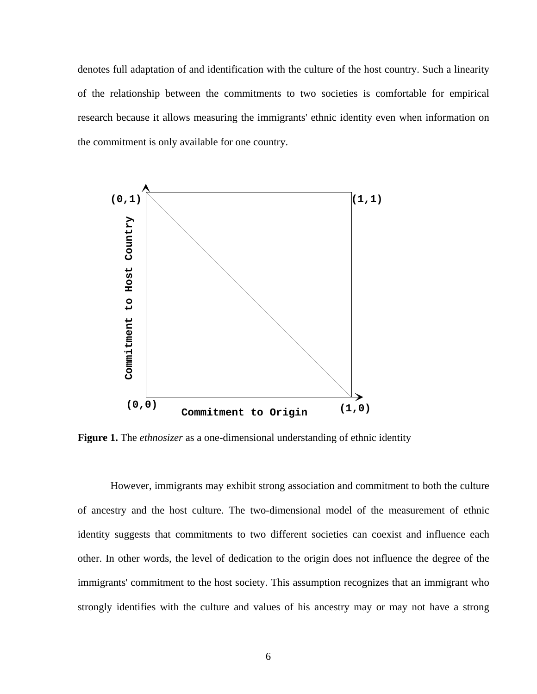denotes full adaptation of and identification with the culture of the host country. Such a linearity of the relationship between the commitments to two societies is comfortable for empirical research because it allows measuring the immigrants' ethnic identity even when information on the commitment is only available for one country.



**Figure 1.** The *ethnosizer* as a one-dimensional understanding of ethnic identity

However, immigrants may exhibit strong association and commitment to both the culture of ancestry and the host culture. The two-dimensional model of the measurement of ethnic identity suggests that commitments to two different societies can coexist and influence each other. In other words, the level of dedication to the origin does not influence the degree of the immigrants' commitment to the host society. This assumption recognizes that an immigrant who strongly identifies with the culture and values of his ancestry may or may not have a strong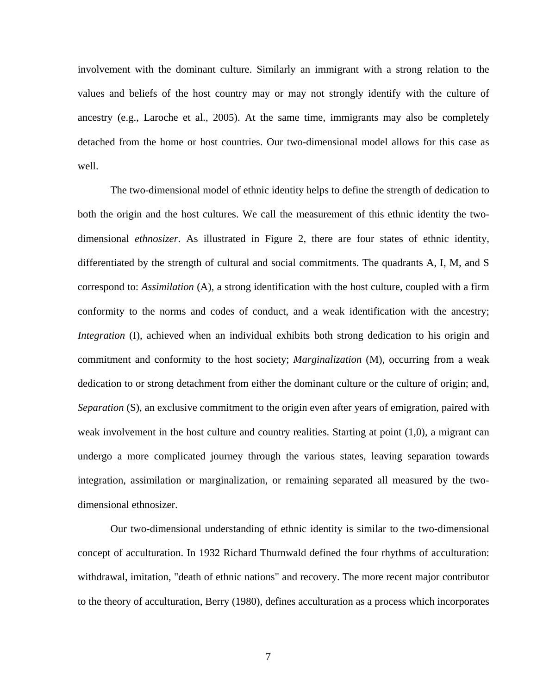involvement with the dominant culture. Similarly an immigrant with a strong relation to the values and beliefs of the host country may or may not strongly identify with the culture of ancestry (e.g., Laroche et al., 2005). At the same time, immigrants may also be completely detached from the home or host countries. Our two-dimensional model allows for this case as well.

The two-dimensional model of ethnic identity helps to define the strength of dedication to both the origin and the host cultures. We call the measurement of this ethnic identity the twodimensional *ethnosizer*. As illustrated in Figure 2, there are four states of ethnic identity, differentiated by the strength of cultural and social commitments. The quadrants A, I, M, and S correspond to: *Assimilation* (A), a strong identification with the host culture, coupled with a firm conformity to the norms and codes of conduct, and a weak identification with the ancestry; *Integration* (I), achieved when an individual exhibits both strong dedication to his origin and commitment and conformity to the host society; *Marginalization* (M), occurring from a weak dedication to or strong detachment from either the dominant culture or the culture of origin; and, *Separation* (S), an exclusive commitment to the origin even after years of emigration, paired with weak involvement in the host culture and country realities. Starting at point (1,0), a migrant can undergo a more complicated journey through the various states, leaving separation towards integration, assimilation or marginalization, or remaining separated all measured by the twodimensional ethnosizer.

Our two-dimensional understanding of ethnic identity is similar to the two-dimensional concept of acculturation. In 1932 Richard Thurnwald defined the four rhythms of acculturation: withdrawal, imitation, "death of ethnic nations" and recovery. The more recent major contributor to the theory of acculturation, Berry (1980), defines acculturation as a process which incorporates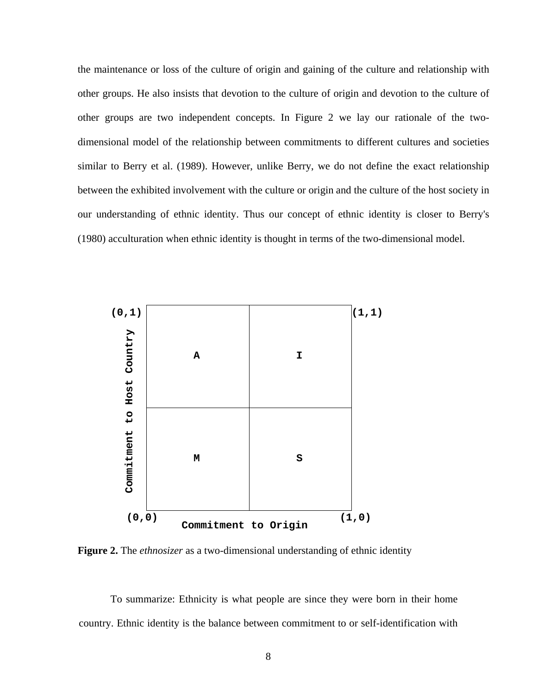the maintenance or loss of the culture of origin and gaining of the culture and relationship with other groups. He also insists that devotion to the culture of origin and devotion to the culture of other groups are two independent concepts. In Figure 2 we lay our rationale of the twodimensional model of the relationship between commitments to different cultures and societies similar to Berry et al. (1989). However, unlike Berry, we do not define the exact relationship between the exhibited involvement with the culture or origin and the culture of the host society in our understanding of ethnic identity. Thus our concept of ethnic identity is closer to Berry's (1980) acculturation when ethnic identity is thought in terms of the two-dimensional model.



**Figure 2.** The *ethnosizer* as a two-dimensional understanding of ethnic identity

To summarize: Ethnicity is what people are since they were born in their home country. Ethnic identity is the balance between commitment to or self-identification with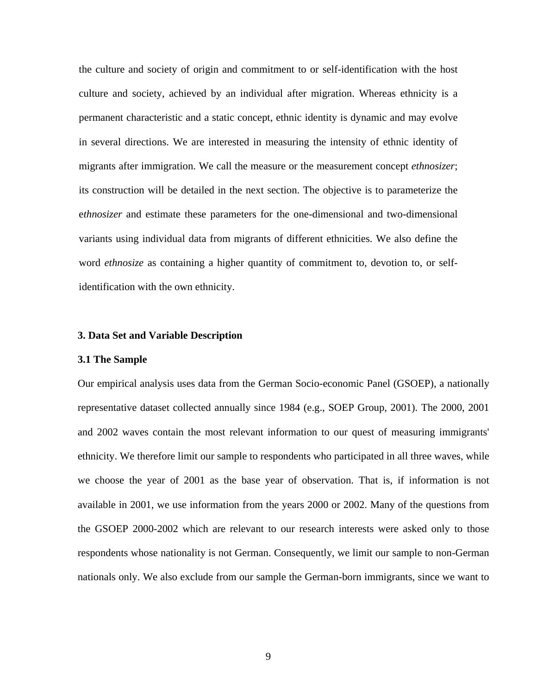the culture and society of origin and commitment to or self-identification with the host culture and society, achieved by an individual after migration. Whereas ethnicity is a permanent characteristic and a static concept, ethnic identity is dynamic and may evolve in several directions. We are interested in measuring the intensity of ethnic identity of migrants after immigration. We call the measure or the measurement concept *ethnosizer*; its construction will be detailed in the next section. The objective is to parameterize the e*thnosizer* and estimate these parameters for the one-dimensional and two-dimensional variants using individual data from migrants of different ethnicities. We also define the word *ethnosize* as containing a higher quantity of commitment to, devotion to, or selfidentification with the own ethnicity.

### **3. Data Set and Variable Description**

### **3.1 The Sample**

Our empirical analysis uses data from the German Socio-economic Panel (GSOEP), a nationally representative dataset collected annually since 1984 (e.g., SOEP Group, 2001). The 2000, 2001 and 2002 waves contain the most relevant information to our quest of measuring immigrants' ethnicity. We therefore limit our sample to respondents who participated in all three waves, while we choose the year of 2001 as the base year of observation. That is, if information is not available in 2001, we use information from the years 2000 or 2002. Many of the questions from the GSOEP 2000-2002 which are relevant to our research interests were asked only to those respondents whose nationality is not German. Consequently, we limit our sample to non-German nationals only. We also exclude from our sample the German-born immigrants, since we want to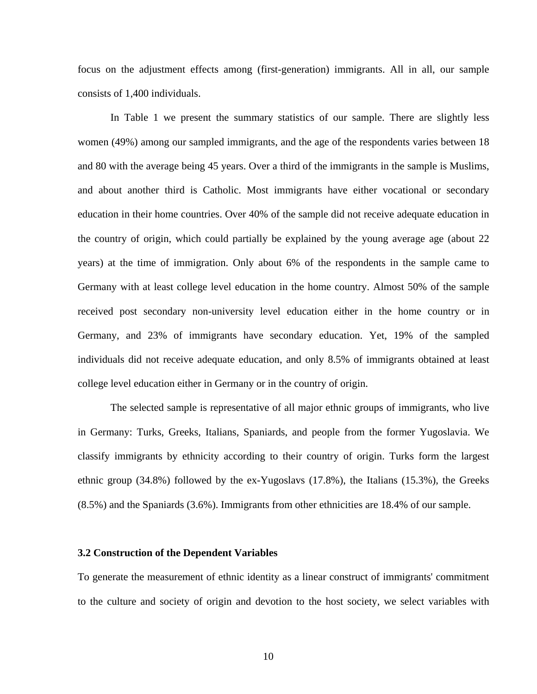focus on the adjustment effects among (first-generation) immigrants. All in all, our sample consists of 1,400 individuals.

In Table 1 we present the summary statistics of our sample. There are slightly less women (49%) among our sampled immigrants, and the age of the respondents varies between 18 and 80 with the average being 45 years. Over a third of the immigrants in the sample is Muslims, and about another third is Catholic. Most immigrants have either vocational or secondary education in their home countries. Over 40% of the sample did not receive adequate education in the country of origin, which could partially be explained by the young average age (about 22 years) at the time of immigration. Only about 6% of the respondents in the sample came to Germany with at least college level education in the home country. Almost 50% of the sample received post secondary non-university level education either in the home country or in Germany, and 23% of immigrants have secondary education. Yet, 19% of the sampled individuals did not receive adequate education, and only 8.5% of immigrants obtained at least college level education either in Germany or in the country of origin.

The selected sample is representative of all major ethnic groups of immigrants, who live in Germany: Turks, Greeks, Italians, Spaniards, and people from the former Yugoslavia. We classify immigrants by ethnicity according to their country of origin. Turks form the largest ethnic group (34.8%) followed by the ex-Yugoslavs (17.8%), the Italians (15.3%), the Greeks (8.5%) and the Spaniards (3.6%). Immigrants from other ethnicities are 18.4% of our sample.

### **3.2 Construction of the Dependent Variables**

To generate the measurement of ethnic identity as a linear construct of immigrants' commitment to the culture and society of origin and devotion to the host society, we select variables with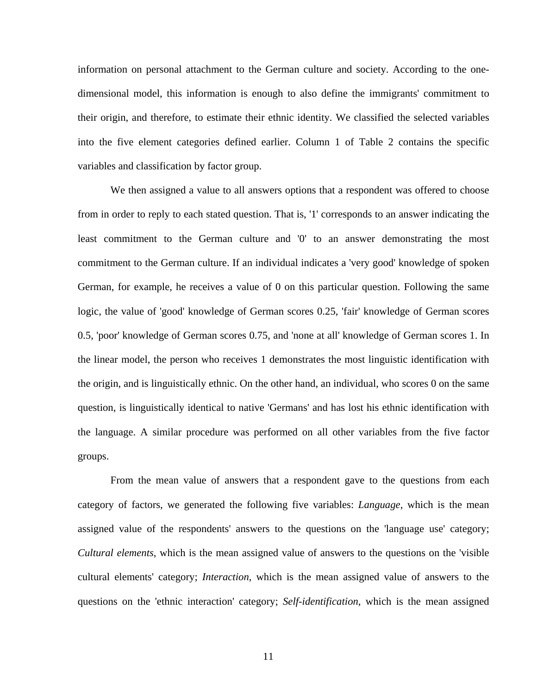information on personal attachment to the German culture and society. According to the onedimensional model, this information is enough to also define the immigrants' commitment to their origin, and therefore, to estimate their ethnic identity. We classified the selected variables into the five element categories defined earlier. Column 1 of Table 2 contains the specific variables and classification by factor group.

We then assigned a value to all answers options that a respondent was offered to choose from in order to reply to each stated question. That is, '1' corresponds to an answer indicating the least commitment to the German culture and '0' to an answer demonstrating the most commitment to the German culture. If an individual indicates a 'very good' knowledge of spoken German, for example, he receives a value of 0 on this particular question. Following the same logic, the value of 'good' knowledge of German scores 0.25, 'fair' knowledge of German scores 0.5, 'poor' knowledge of German scores 0.75, and 'none at all' knowledge of German scores 1. In the linear model, the person who receives 1 demonstrates the most linguistic identification with the origin, and is linguistically ethnic. On the other hand, an individual, who scores 0 on the same question, is linguistically identical to native 'Germans' and has lost his ethnic identification with the language. A similar procedure was performed on all other variables from the five factor groups.

From the mean value of answers that a respondent gave to the questions from each category of factors, we generated the following five variables: *Language*, which is the mean assigned value of the respondents' answers to the questions on the 'language use' category; *Cultural elements*, which is the mean assigned value of answers to the questions on the 'visible cultural elements' category; *Interaction*, which is the mean assigned value of answers to the questions on the 'ethnic interaction' category; *Self-identification*, which is the mean assigned

11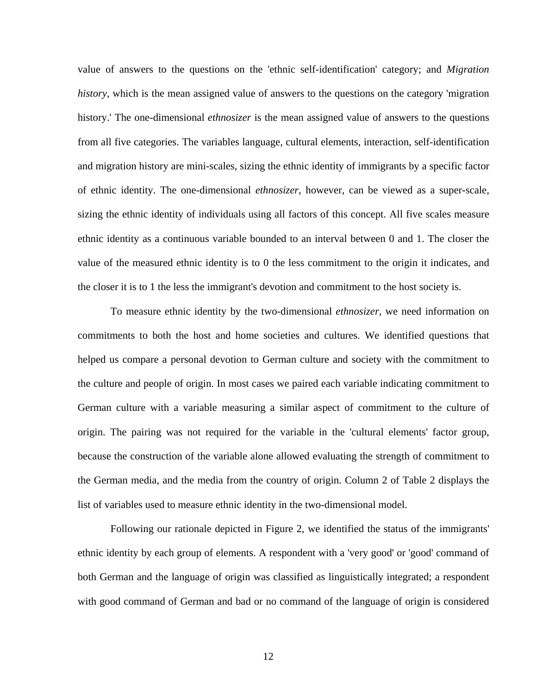value of answers to the questions on the 'ethnic self-identification' category; and *Migration history*, which is the mean assigned value of answers to the questions on the category 'migration history.' The one-dimensional *ethnosizer* is the mean assigned value of answers to the questions from all five categories. The variables language, cultural elements, interaction, self-identification and migration history are mini-scales, sizing the ethnic identity of immigrants by a specific factor of ethnic identity. The one-dimensional *ethnosizer*, however, can be viewed as a super-scale, sizing the ethnic identity of individuals using all factors of this concept. All five scales measure ethnic identity as a continuous variable bounded to an interval between 0 and 1. The closer the value of the measured ethnic identity is to 0 the less commitment to the origin it indicates, and the closer it is to 1 the less the immigrant's devotion and commitment to the host society is.

To measure ethnic identity by the two-dimensional *ethnosizer*, we need information on commitments to both the host and home societies and cultures. We identified questions that helped us compare a personal devotion to German culture and society with the commitment to the culture and people of origin. In most cases we paired each variable indicating commitment to German culture with a variable measuring a similar aspect of commitment to the culture of origin. The pairing was not required for the variable in the 'cultural elements' factor group, because the construction of the variable alone allowed evaluating the strength of commitment to the German media, and the media from the country of origin. Column 2 of Table 2 displays the list of variables used to measure ethnic identity in the two-dimensional model.

Following our rationale depicted in Figure 2, we identified the status of the immigrants' ethnic identity by each group of elements. A respondent with a 'very good' or 'good' command of both German and the language of origin was classified as linguistically integrated; a respondent with good command of German and bad or no command of the language of origin is considered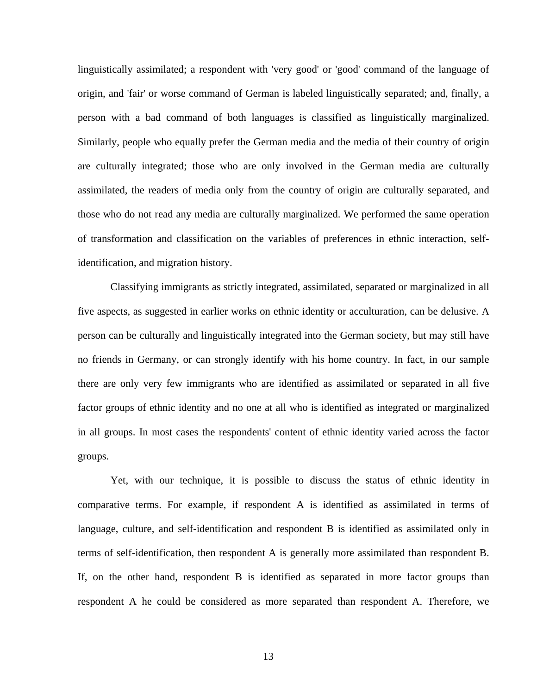linguistically assimilated; a respondent with 'very good' or 'good' command of the language of origin, and 'fair' or worse command of German is labeled linguistically separated; and, finally, a person with a bad command of both languages is classified as linguistically marginalized. Similarly, people who equally prefer the German media and the media of their country of origin are culturally integrated; those who are only involved in the German media are culturally assimilated, the readers of media only from the country of origin are culturally separated, and those who do not read any media are culturally marginalized. We performed the same operation of transformation and classification on the variables of preferences in ethnic interaction, selfidentification, and migration history.

Classifying immigrants as strictly integrated, assimilated, separated or marginalized in all five aspects, as suggested in earlier works on ethnic identity or acculturation, can be delusive. A person can be culturally and linguistically integrated into the German society, but may still have no friends in Germany, or can strongly identify with his home country. In fact, in our sample there are only very few immigrants who are identified as assimilated or separated in all five factor groups of ethnic identity and no one at all who is identified as integrated or marginalized in all groups. In most cases the respondents' content of ethnic identity varied across the factor groups.

Yet, with our technique, it is possible to discuss the status of ethnic identity in comparative terms. For example, if respondent A is identified as assimilated in terms of language, culture, and self-identification and respondent B is identified as assimilated only in terms of self-identification, then respondent A is generally more assimilated than respondent B. If, on the other hand, respondent B is identified as separated in more factor groups than respondent A he could be considered as more separated than respondent A. Therefore, we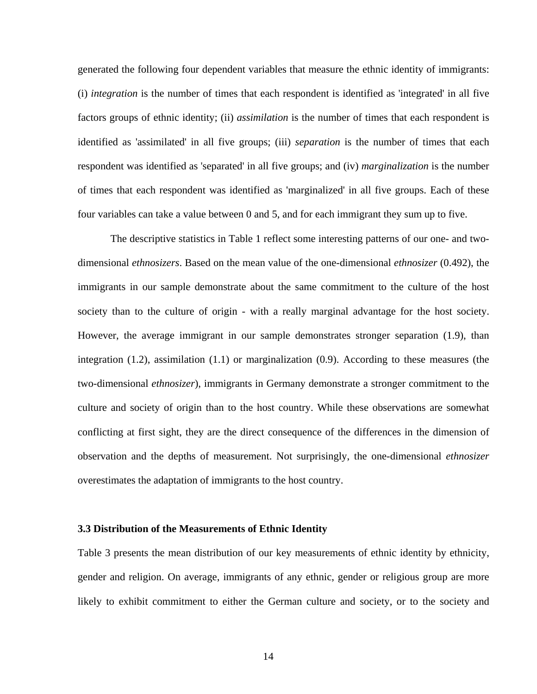generated the following four dependent variables that measure the ethnic identity of immigrants: (i) *integration* is the number of times that each respondent is identified as 'integrated' in all five factors groups of ethnic identity; (ii) *assimilation* is the number of times that each respondent is identified as 'assimilated' in all five groups; (iii) *separation* is the number of times that each respondent was identified as 'separated' in all five groups; and (iv) *marginalization* is the number of times that each respondent was identified as 'marginalized' in all five groups. Each of these four variables can take a value between 0 and 5, and for each immigrant they sum up to five.

The descriptive statistics in Table 1 reflect some interesting patterns of our one- and twodimensional *ethnosizers*. Based on the mean value of the one-dimensional *ethnosizer* (0.492), the immigrants in our sample demonstrate about the same commitment to the culture of the host society than to the culture of origin - with a really marginal advantage for the host society. However, the average immigrant in our sample demonstrates stronger separation (1.9), than integration (1.2), assimilation (1.1) or marginalization (0.9). According to these measures (the two-dimensional *ethnosizer*), immigrants in Germany demonstrate a stronger commitment to the culture and society of origin than to the host country. While these observations are somewhat conflicting at first sight, they are the direct consequence of the differences in the dimension of observation and the depths of measurement. Not surprisingly, the one-dimensional *ethnosizer* overestimates the adaptation of immigrants to the host country.

### **3.3 Distribution of the Measurements of Ethnic Identity**

Table 3 presents the mean distribution of our key measurements of ethnic identity by ethnicity, gender and religion. On average, immigrants of any ethnic, gender or religious group are more likely to exhibit commitment to either the German culture and society, or to the society and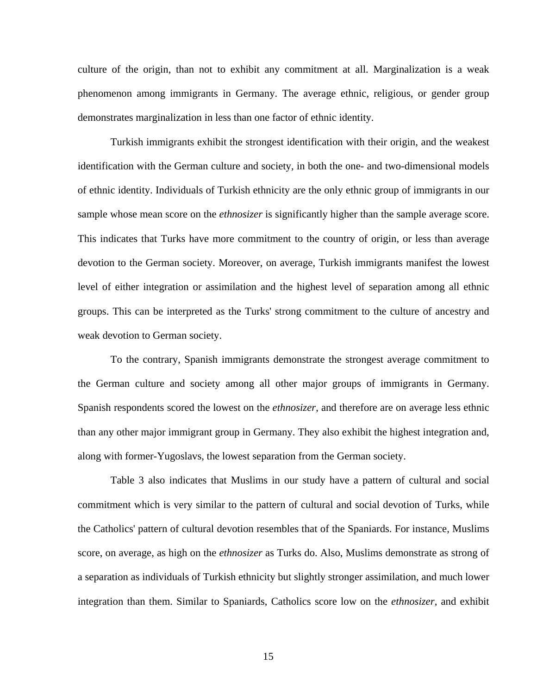culture of the origin, than not to exhibit any commitment at all. Marginalization is a weak phenomenon among immigrants in Germany. The average ethnic, religious, or gender group demonstrates marginalization in less than one factor of ethnic identity.

Turkish immigrants exhibit the strongest identification with their origin, and the weakest identification with the German culture and society, in both the one- and two-dimensional models of ethnic identity. Individuals of Turkish ethnicity are the only ethnic group of immigrants in our sample whose mean score on the *ethnosizer* is significantly higher than the sample average score. This indicates that Turks have more commitment to the country of origin, or less than average devotion to the German society. Moreover, on average, Turkish immigrants manifest the lowest level of either integration or assimilation and the highest level of separation among all ethnic groups. This can be interpreted as the Turks' strong commitment to the culture of ancestry and weak devotion to German society.

To the contrary, Spanish immigrants demonstrate the strongest average commitment to the German culture and society among all other major groups of immigrants in Germany. Spanish respondents scored the lowest on the *ethnosizer*, and therefore are on average less ethnic than any other major immigrant group in Germany. They also exhibit the highest integration and, along with former-Yugoslavs, the lowest separation from the German society.

Table 3 also indicates that Muslims in our study have a pattern of cultural and social commitment which is very similar to the pattern of cultural and social devotion of Turks, while the Catholics' pattern of cultural devotion resembles that of the Spaniards. For instance, Muslims score, on average, as high on the *ethnosizer* as Turks do. Also, Muslims demonstrate as strong of a separation as individuals of Turkish ethnicity but slightly stronger assimilation, and much lower integration than them. Similar to Spaniards, Catholics score low on the *ethnosizer*, and exhibit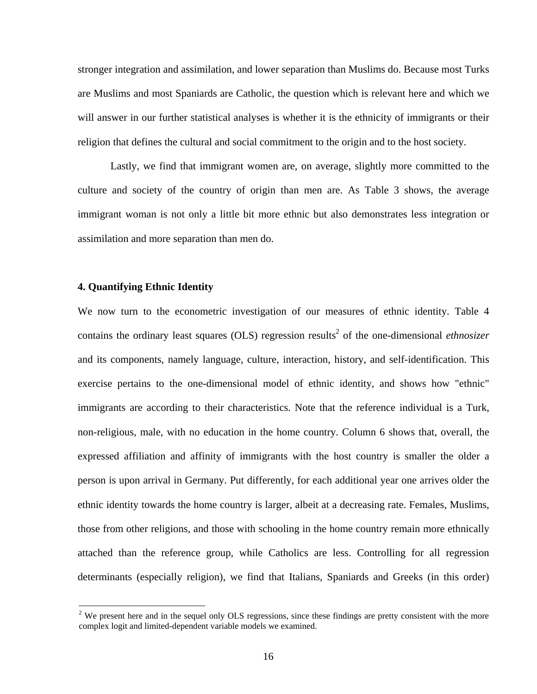stronger integration and assimilation, and lower separation than Muslims do. Because most Turks are Muslims and most Spaniards are Catholic, the question which is relevant here and which we will answer in our further statistical analyses is whether it is the ethnicity of immigrants or their religion that defines the cultural and social commitment to the origin and to the host society.

Lastly, we find that immigrant women are, on average, slightly more committed to the culture and society of the country of origin than men are. As Table 3 shows, the average immigrant woman is not only a little bit more ethnic but also demonstrates less integration or assimilation and more separation than men do.

### **4. Quantifying Ethnic Identity**

 $\overline{a}$ 

We now turn to the econometric investigation of our measures of ethnic identity. Table 4 contains the ordinary least squares (OLS) regression results<sup>2</sup> of the one-dimensional *ethnosizer* and its components, namely language, culture, interaction, history, and self-identification. This exercise pertains to the one-dimensional model of ethnic identity, and shows how "ethnic" immigrants are according to their characteristics. Note that the reference individual is a Turk, non-religious, male, with no education in the home country. Column 6 shows that, overall, the expressed affiliation and affinity of immigrants with the host country is smaller the older a person is upon arrival in Germany. Put differently, for each additional year one arrives older the ethnic identity towards the home country is larger, albeit at a decreasing rate. Females, Muslims, those from other religions, and those with schooling in the home country remain more ethnically attached than the reference group, while Catholics are less. Controlling for all regression determinants (especially religion), we find that Italians, Spaniards and Greeks (in this order)

<span id="page-18-0"></span><sup>&</sup>lt;sup>2</sup> We present here and in the sequel only OLS regressions, since these findings are pretty consistent with the more complex logit and limited-dependent variable models we examined.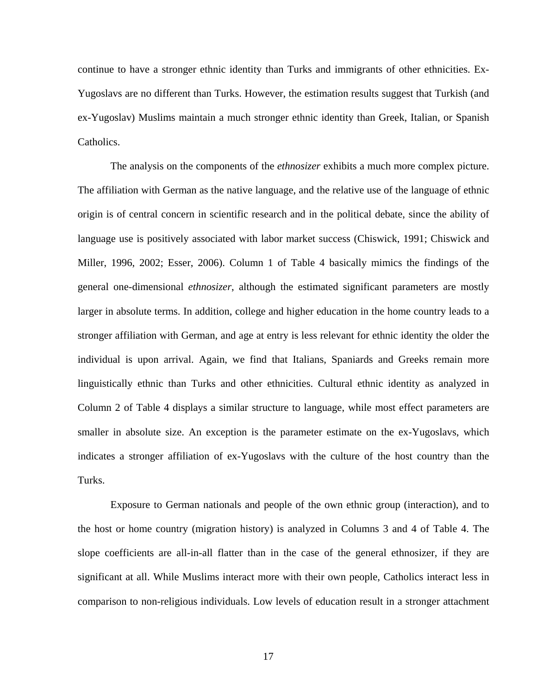continue to have a stronger ethnic identity than Turks and immigrants of other ethnicities. Ex-Yugoslavs are no different than Turks. However, the estimation results suggest that Turkish (and ex-Yugoslav) Muslims maintain a much stronger ethnic identity than Greek, Italian, or Spanish Catholics.

The analysis on the components of the *ethnosizer* exhibits a much more complex picture. The affiliation with German as the native language, and the relative use of the language of ethnic origin is of central concern in scientific research and in the political debate, since the ability of language use is positively associated with labor market success (Chiswick, 1991; Chiswick and Miller, 1996, 2002; Esser, 2006). Column 1 of Table 4 basically mimics the findings of the general one-dimensional *ethnosizer*, although the estimated significant parameters are mostly larger in absolute terms. In addition, college and higher education in the home country leads to a stronger affiliation with German, and age at entry is less relevant for ethnic identity the older the individual is upon arrival. Again, we find that Italians, Spaniards and Greeks remain more linguistically ethnic than Turks and other ethnicities. Cultural ethnic identity as analyzed in Column 2 of Table 4 displays a similar structure to language, while most effect parameters are smaller in absolute size. An exception is the parameter estimate on the ex-Yugoslavs, which indicates a stronger affiliation of ex-Yugoslavs with the culture of the host country than the Turks.

Exposure to German nationals and people of the own ethnic group (interaction), and to the host or home country (migration history) is analyzed in Columns 3 and 4 of Table 4. The slope coefficients are all-in-all flatter than in the case of the general ethnosizer, if they are significant at all. While Muslims interact more with their own people, Catholics interact less in comparison to non-religious individuals. Low levels of education result in a stronger attachment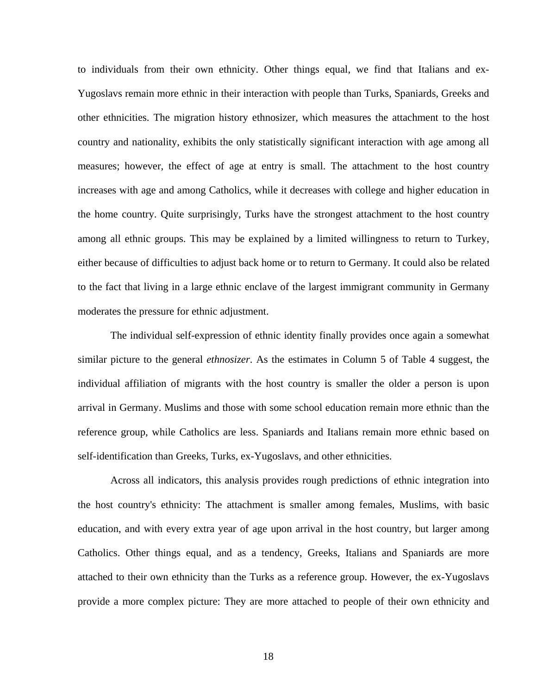to individuals from their own ethnicity. Other things equal, we find that Italians and ex-Yugoslavs remain more ethnic in their interaction with people than Turks, Spaniards, Greeks and other ethnicities. The migration history ethnosizer, which measures the attachment to the host country and nationality, exhibits the only statistically significant interaction with age among all measures; however, the effect of age at entry is small. The attachment to the host country increases with age and among Catholics, while it decreases with college and higher education in the home country. Quite surprisingly, Turks have the strongest attachment to the host country among all ethnic groups. This may be explained by a limited willingness to return to Turkey, either because of difficulties to adjust back home or to return to Germany. It could also be related to the fact that living in a large ethnic enclave of the largest immigrant community in Germany moderates the pressure for ethnic adjustment.

The individual self-expression of ethnic identity finally provides once again a somewhat similar picture to the general *ethnosizer*. As the estimates in Column 5 of Table 4 suggest, the individual affiliation of migrants with the host country is smaller the older a person is upon arrival in Germany. Muslims and those with some school education remain more ethnic than the reference group, while Catholics are less. Spaniards and Italians remain more ethnic based on self-identification than Greeks, Turks, ex-Yugoslavs, and other ethnicities.

Across all indicators, this analysis provides rough predictions of ethnic integration into the host country's ethnicity: The attachment is smaller among females, Muslims, with basic education, and with every extra year of age upon arrival in the host country, but larger among Catholics. Other things equal, and as a tendency, Greeks, Italians and Spaniards are more attached to their own ethnicity than the Turks as a reference group. However, the ex-Yugoslavs provide a more complex picture: They are more attached to people of their own ethnicity and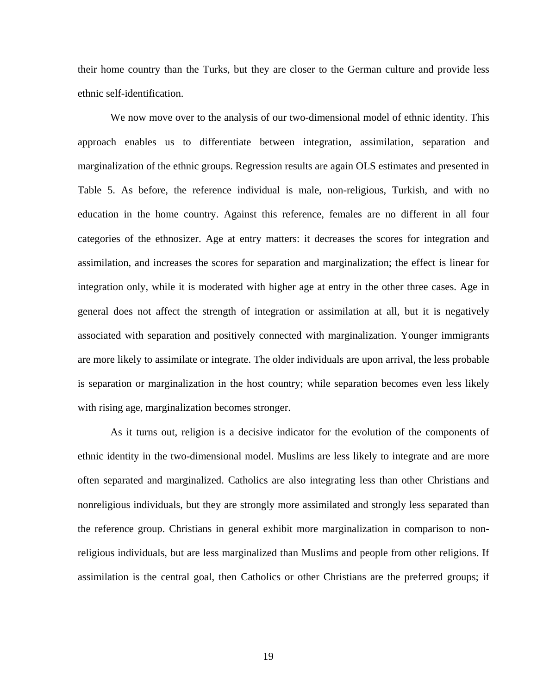their home country than the Turks, but they are closer to the German culture and provide less ethnic self-identification.

We now move over to the analysis of our two-dimensional model of ethnic identity. This approach enables us to differentiate between integration, assimilation, separation and marginalization of the ethnic groups. Regression results are again OLS estimates and presented in Table 5. As before, the reference individual is male, non-religious, Turkish, and with no education in the home country. Against this reference, females are no different in all four categories of the ethnosizer. Age at entry matters: it decreases the scores for integration and assimilation, and increases the scores for separation and marginalization; the effect is linear for integration only, while it is moderated with higher age at entry in the other three cases. Age in general does not affect the strength of integration or assimilation at all, but it is negatively associated with separation and positively connected with marginalization. Younger immigrants are more likely to assimilate or integrate. The older individuals are upon arrival, the less probable is separation or marginalization in the host country; while separation becomes even less likely with rising age, marginalization becomes stronger.

As it turns out, religion is a decisive indicator for the evolution of the components of ethnic identity in the two-dimensional model. Muslims are less likely to integrate and are more often separated and marginalized. Catholics are also integrating less than other Christians and nonreligious individuals, but they are strongly more assimilated and strongly less separated than the reference group. Christians in general exhibit more marginalization in comparison to nonreligious individuals, but are less marginalized than Muslims and people from other religions. If assimilation is the central goal, then Catholics or other Christians are the preferred groups; if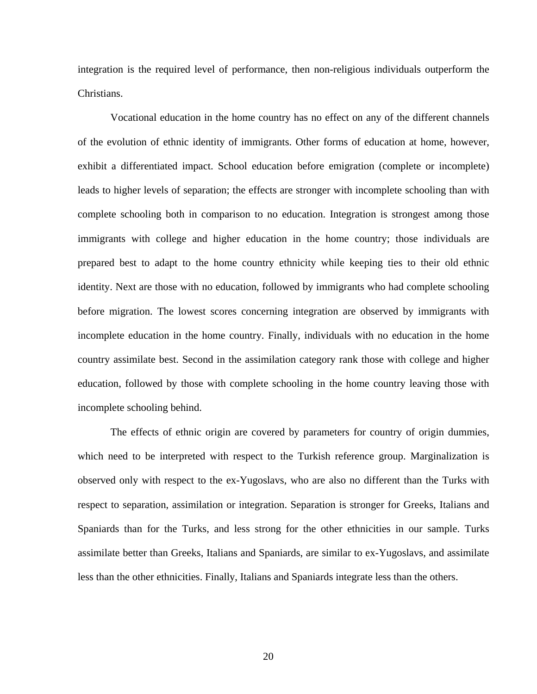integration is the required level of performance, then non-religious individuals outperform the Christians.

Vocational education in the home country has no effect on any of the different channels of the evolution of ethnic identity of immigrants. Other forms of education at home, however, exhibit a differentiated impact. School education before emigration (complete or incomplete) leads to higher levels of separation; the effects are stronger with incomplete schooling than with complete schooling both in comparison to no education. Integration is strongest among those immigrants with college and higher education in the home country; those individuals are prepared best to adapt to the home country ethnicity while keeping ties to their old ethnic identity. Next are those with no education, followed by immigrants who had complete schooling before migration. The lowest scores concerning integration are observed by immigrants with incomplete education in the home country. Finally, individuals with no education in the home country assimilate best. Second in the assimilation category rank those with college and higher education, followed by those with complete schooling in the home country leaving those with incomplete schooling behind.

The effects of ethnic origin are covered by parameters for country of origin dummies, which need to be interpreted with respect to the Turkish reference group. Marginalization is observed only with respect to the ex-Yugoslavs, who are also no different than the Turks with respect to separation, assimilation or integration. Separation is stronger for Greeks, Italians and Spaniards than for the Turks, and less strong for the other ethnicities in our sample. Turks assimilate better than Greeks, Italians and Spaniards, are similar to ex-Yugoslavs, and assimilate less than the other ethnicities. Finally, Italians and Spaniards integrate less than the others.

20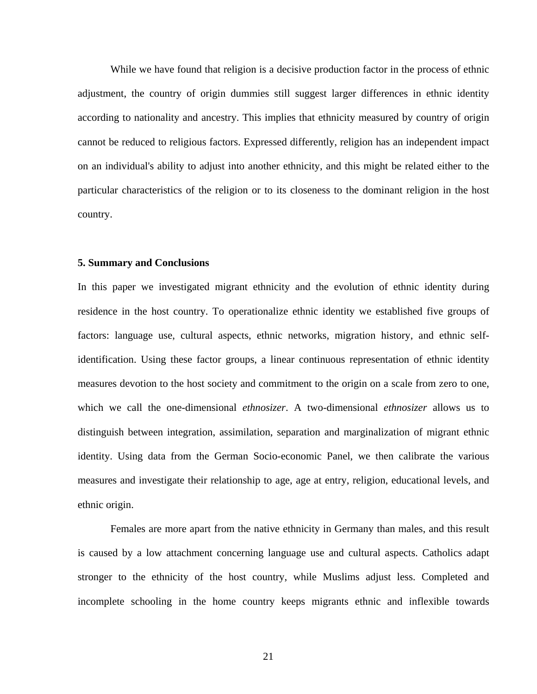While we have found that religion is a decisive production factor in the process of ethnic adjustment, the country of origin dummies still suggest larger differences in ethnic identity according to nationality and ancestry. This implies that ethnicity measured by country of origin cannot be reduced to religious factors. Expressed differently, religion has an independent impact on an individual's ability to adjust into another ethnicity, and this might be related either to the particular characteristics of the religion or to its closeness to the dominant religion in the host country.

### **5. Summary and Conclusions**

In this paper we investigated migrant ethnicity and the evolution of ethnic identity during residence in the host country. To operationalize ethnic identity we established five groups of factors: language use, cultural aspects, ethnic networks, migration history, and ethnic selfidentification. Using these factor groups, a linear continuous representation of ethnic identity measures devotion to the host society and commitment to the origin on a scale from zero to one, which we call the one-dimensional *ethnosizer*. A two-dimensional *ethnosizer* allows us to distinguish between integration, assimilation, separation and marginalization of migrant ethnic identity. Using data from the German Socio-economic Panel, we then calibrate the various measures and investigate their relationship to age, age at entry, religion, educational levels, and ethnic origin.

Females are more apart from the native ethnicity in Germany than males, and this result is caused by a low attachment concerning language use and cultural aspects. Catholics adapt stronger to the ethnicity of the host country, while Muslims adjust less. Completed and incomplete schooling in the home country keeps migrants ethnic and inflexible towards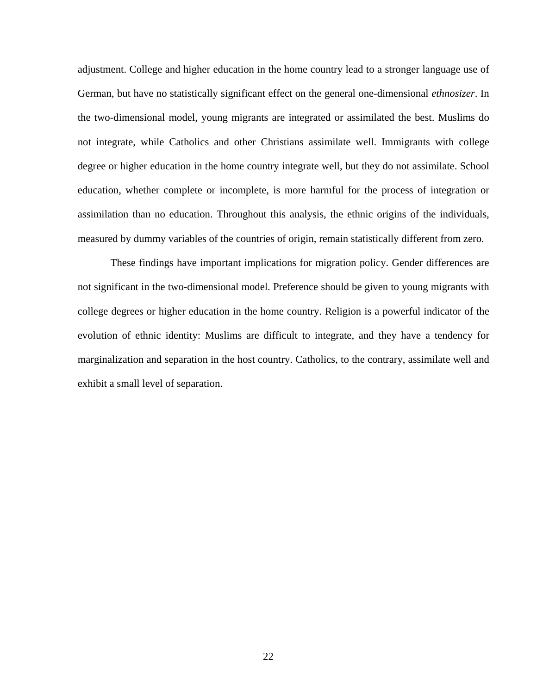adjustment. College and higher education in the home country lead to a stronger language use of German, but have no statistically significant effect on the general one-dimensional *ethnosizer*. In the two-dimensional model, young migrants are integrated or assimilated the best. Muslims do not integrate, while Catholics and other Christians assimilate well. Immigrants with college degree or higher education in the home country integrate well, but they do not assimilate. School education, whether complete or incomplete, is more harmful for the process of integration or assimilation than no education. Throughout this analysis, the ethnic origins of the individuals, measured by dummy variables of the countries of origin, remain statistically different from zero.

These findings have important implications for migration policy. Gender differences are not significant in the two-dimensional model. Preference should be given to young migrants with college degrees or higher education in the home country. Religion is a powerful indicator of the evolution of ethnic identity: Muslims are difficult to integrate, and they have a tendency for marginalization and separation in the host country. Catholics, to the contrary, assimilate well and exhibit a small level of separation.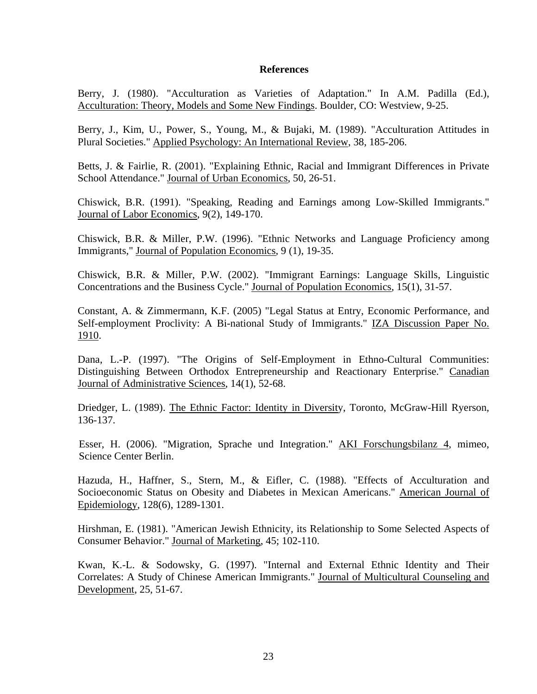### **References**

Berry, J. (1980). "Acculturation as Varieties of Adaptation." In A.M. Padilla (Ed.), Acculturation: Theory, Models and Some New Findings. Boulder, CO: Westview, 9-25.

Berry, J., Kim, U., Power, S., Young, M., & Bujaki, M. (1989). "Acculturation Attitudes in Plural Societies." Applied Psychology: An International Review, 38, 185-206.

Betts, J. & Fairlie, R. (2001). "Explaining Ethnic, Racial and Immigrant Differences in Private School Attendance." Journal of Urban Economics, 50, 26-51.

Chiswick, B.R. (1991). "Speaking, Reading and Earnings among Low-Skilled Immigrants." Journal of Labor Economics, 9(2), 149-170.

Chiswick, B.R. & Miller, P.W. (1996). "Ethnic Networks and Language Proficiency among Immigrants," Journal of Population Economics, 9 (1), 19-35.

Chiswick, B.R. & Miller, P.W. (2002). "Immigrant Earnings: Language Skills, Linguistic Concentrations and the Business Cycle." Journal of Population Economics, 15(1), 31-57.

Constant, A. & Zimmermann, K.F. (2005) "Legal Status at Entry, Economic Performance, and Self-employment Proclivity: A Bi-national Study of Immigrants." IZA Discussion Paper No. 1910.

Dana, L.-P. (1997). "The Origins of Self-Employment in Ethno-Cultural Communities: Distinguishing Between Orthodox Entrepreneurship and Reactionary Enterprise." Canadian Journal of Administrative Sciences, 14(1), 52-68.

Driedger, L. (1989). The Ethnic Factor: Identity in Diversity, Toronto, McGraw-Hill Ryerson, 136-137.

Esser, H. (2006). "Migration, Sprache und Integration." AKI Forschungsbilanz 4, mimeo, Science Center Berlin.

Hazuda, H., Haffner, S., Stern, M., & Eifler, C. (1988). "Effects of Acculturation and Socioeconomic Status on Obesity and Diabetes in Mexican Americans." American Journal of Epidemiology, 128(6), 1289-1301.

Hirshman, E. (1981). "American Jewish Ethnicity, its Relationship to Some Selected Aspects of Consumer Behavior." Journal of Marketing, 45; 102-110.

Kwan, K.-L. & Sodowsky, G. (1997). "Internal and External Ethnic Identity and Their Correlates: A Study of Chinese American Immigrants." Journal of Multicultural Counseling and Development, 25, 51-67.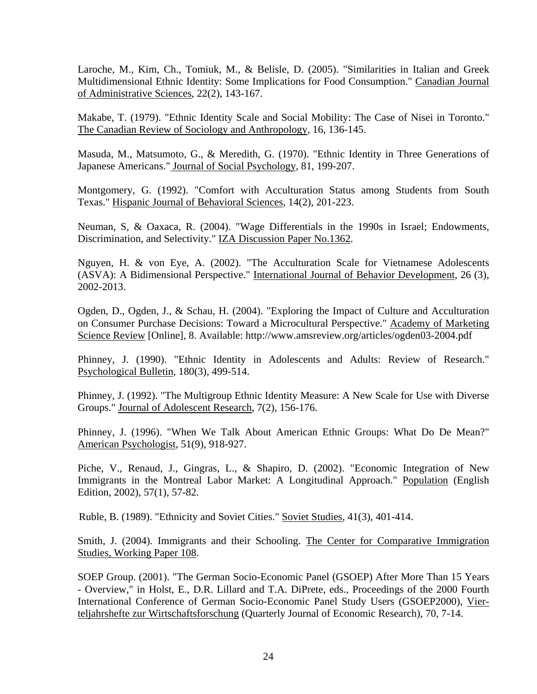Laroche, M., Kim, Ch., Tomiuk, M., & Belisle, D. (2005). "Similarities in Italian and Greek Multidimensional Ethnic Identity: Some Implications for Food Consumption." Canadian Journal of Administrative Sciences, 22(2), 143-167.

Makabe, T. (1979). "Ethnic Identity Scale and Social Mobility: The Case of Nisei in Toronto." The Canadian Review of Sociology and Anthropology, 16, 136-145.

Masuda, M., Matsumoto, G., & Meredith, G. (1970). "Ethnic Identity in Three Generations of Japanese Americans." Journal of Social Psychology, 81, 199-207.

Montgomery, G. (1992). "Comfort with Acculturation Status among Students from South Texas." Hispanic Journal of Behavioral Sciences, 14(2), 201-223.

Neuman, S, & Oaxaca, R. (2004). "Wage Differentials in the 1990s in Israel; Endowments, Discrimination, and Selectivity." IZA Discussion Paper No.1362.

Nguyen, H. & von Eye, A. (2002). "The Acculturation Scale for Vietnamese Adolescents (ASVA): A Bidimensional Perspective." International Journal of Behavior Development, 26 (3), 2002-2013.

Ogden, D., Ogden, J., & Schau, H. (2004). "Exploring the Impact of Culture and Acculturation on Consumer Purchase Decisions: Toward a Microcultural Perspective." Academy of Marketing Science Review [Online], 8. Available: http://www.amsreview.org/articles/ogden03-2004.pdf

Phinney, J. (1990). "Ethnic Identity in Adolescents and Adults: Review of Research." Psychological Bulletin, 180(3), 499-514.

Phinney, J. (1992). "The Multigroup Ethnic Identity Measure: A New Scale for Use with Diverse Groups." Journal of Adolescent Research, 7(2), 156-176.

Phinney, J. (1996). "When We Talk About American Ethnic Groups: What Do De Mean?" American Psychologist, 51(9), 918-927.

Piche, V., Renaud, J., Gingras, L., & Shapiro, D. (2002). "Economic Integration of New Immigrants in the Montreal Labor Market: A Longitudinal Approach." Population (English Edition, 2002), 57(1), 57-82.

Ruble, B. (1989). "Ethnicity and Soviet Cities." Soviet Studies, 41(3), 401-414.

Smith, J. (2004). Immigrants and their Schooling. The Center for Comparative Immigration Studies, Working Paper 108.

SOEP Group. (2001). "The German Socio-Economic Panel (GSOEP) After More Than 15 Years - Overview," in Holst, E., D.R. Lillard and T.A. DiPrete, eds., Proceedings of the 2000 Fourth International Conference of German Socio-Economic Panel Study Users (GSOEP2000), Vierteljahrshefte zur Wirtschaftsforschung (Quarterly Journal of Economic Research), 70, 7-14.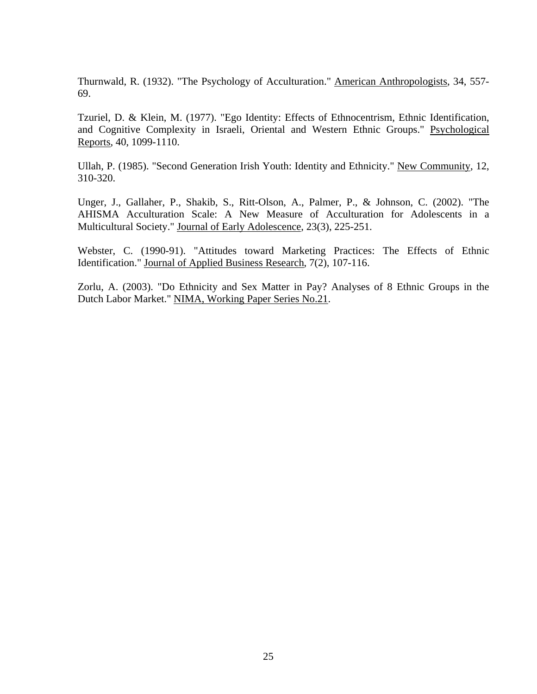Thurnwald, R. (1932). "The Psychology of Acculturation." American Anthropologists, 34, 557- 69.

Tzuriel, D. & Klein, M. (1977). "Ego Identity: Effects of Ethnocentrism, Ethnic Identification, and Cognitive Complexity in Israeli, Oriental and Western Ethnic Groups." Psychological Reports, 40, 1099-1110.

Ullah, P. (1985). "Second Generation Irish Youth: Identity and Ethnicity." New Community, 12, 310-320.

Unger, J., Gallaher, P., Shakib, S., Ritt-Olson, A., Palmer, P., & Johnson, C. (2002). "The AHISMA Acculturation Scale: A New Measure of Acculturation for Adolescents in a Multicultural Society." Journal of Early Adolescence, 23(3), 225-251.

Webster, C. (1990-91). "Attitudes toward Marketing Practices: The Effects of Ethnic Identification." Journal of Applied Business Research, 7(2), 107-116.

Zorlu, A. (2003). "Do Ethnicity and Sex Matter in Pay? Analyses of 8 Ethnic Groups in the Dutch Labor Market." NIMA, Working Paper Series No.21.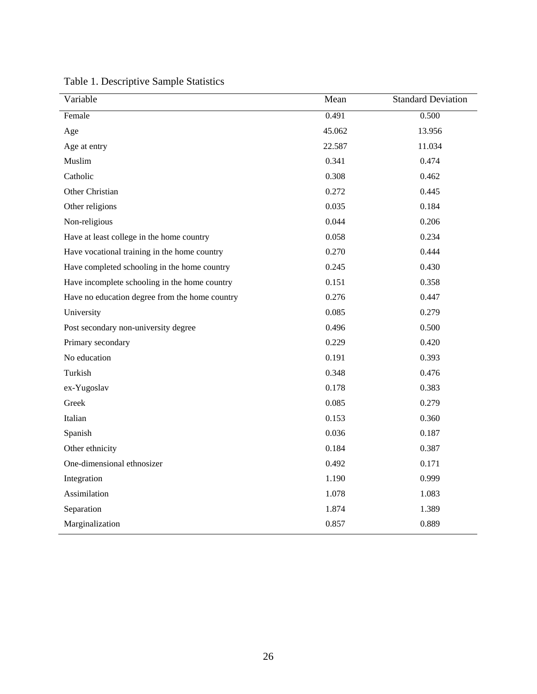| Variable                                       | Mean   | <b>Standard Deviation</b> |
|------------------------------------------------|--------|---------------------------|
| Female                                         | 0.491  | 0.500                     |
| Age                                            | 45.062 | 13.956                    |
| Age at entry                                   | 22.587 | 11.034                    |
| Muslim                                         | 0.341  | 0.474                     |
| Catholic                                       | 0.308  | 0.462                     |
| Other Christian                                | 0.272  | 0.445                     |
| Other religions                                | 0.035  | 0.184                     |
| Non-religious                                  | 0.044  | 0.206                     |
| Have at least college in the home country      | 0.058  | 0.234                     |
| Have vocational training in the home country   | 0.270  | 0.444                     |
| Have completed schooling in the home country   | 0.245  | 0.430                     |
| Have incomplete schooling in the home country  | 0.151  | 0.358                     |
| Have no education degree from the home country | 0.276  | 0.447                     |
| University                                     | 0.085  | 0.279                     |
| Post secondary non-university degree           | 0.496  | 0.500                     |
| Primary secondary                              | 0.229  | 0.420                     |
| No education                                   | 0.191  | 0.393                     |
| Turkish                                        | 0.348  | 0.476                     |
| ex-Yugoslav                                    | 0.178  | 0.383                     |
| Greek                                          | 0.085  | 0.279                     |
| Italian                                        | 0.153  | 0.360                     |
| Spanish                                        | 0.036  | 0.187                     |
| Other ethnicity                                | 0.184  | 0.387                     |
| One-dimensional ethnosizer                     | 0.492  | 0.171                     |
| Integration                                    | 1.190  | 0.999                     |
| Assimilation                                   | 1.078  | 1.083                     |
| Separation                                     | 1.874  | 1.389                     |
| Marginalization                                | 0.857  | 0.889                     |

Table 1. Descriptive Sample Statistics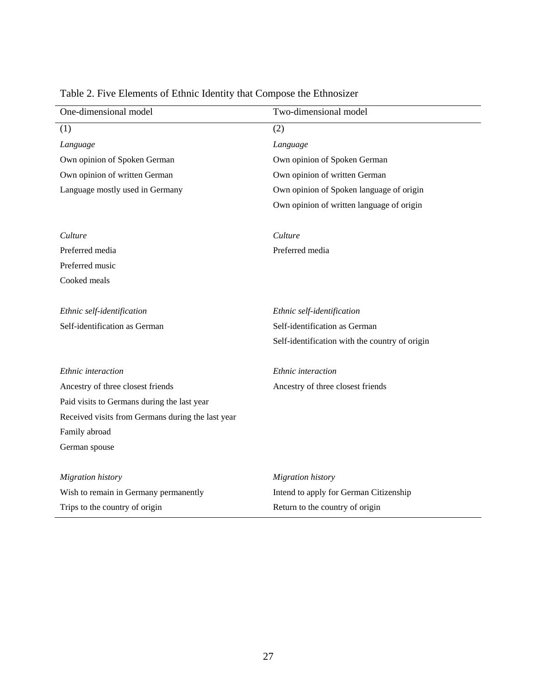| One-dimensional model                             | Two-dimensional model                          |
|---------------------------------------------------|------------------------------------------------|
| (1)                                               | (2)                                            |
| Language                                          | Language                                       |
| Own opinion of Spoken German                      | Own opinion of Spoken German                   |
| Own opinion of written German                     | Own opinion of written German                  |
| Language mostly used in Germany                   | Own opinion of Spoken language of origin       |
|                                                   | Own opinion of written language of origin      |
| Culture                                           | Culture                                        |
| Preferred media                                   | Preferred media                                |
| Preferred music                                   |                                                |
| Cooked meals                                      |                                                |
| Ethnic self-identification                        | Ethnic self-identification                     |
| Self-identification as German                     | Self-identification as German                  |
|                                                   | Self-identification with the country of origin |
|                                                   |                                                |
| Ethnic interaction                                | Ethnic interaction                             |
| Ancestry of three closest friends                 | Ancestry of three closest friends              |
| Paid visits to Germans during the last year       |                                                |
| Received visits from Germans during the last year |                                                |
| Family abroad                                     |                                                |
| German spouse                                     |                                                |
|                                                   |                                                |
| <b>Migration</b> history                          | Migration history                              |
| Wish to remain in Germany permanently             | Intend to apply for German Citizenship         |
| Trips to the country of origin                    | Return to the country of origin                |

# Table 2. Five Elements of Ethnic Identity that Compose the Ethnosizer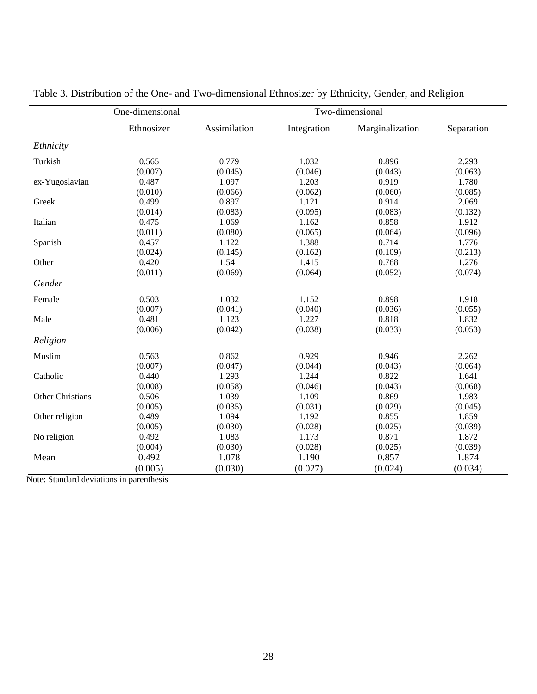|                  | One-dimensional | Two-dimensional |             |                 |            |
|------------------|-----------------|-----------------|-------------|-----------------|------------|
|                  | Ethnosizer      | Assimilation    | Integration | Marginalization | Separation |
| Ethnicity        |                 |                 |             |                 |            |
| Turkish          | 0.565           | 0.779           | 1.032       | 0.896           | 2.293      |
|                  | (0.007)         | (0.045)         | (0.046)     | (0.043)         | (0.063)    |
| ex-Yugoslavian   | 0.487           | 1.097           | 1.203       | 0.919           | 1.780      |
|                  | (0.010)         | (0.066)         | (0.062)     | (0.060)         | (0.085)    |
| Greek            | 0.499           | 0.897           | 1.121       | 0.914           | 2.069      |
|                  | (0.014)         | (0.083)         | (0.095)     | (0.083)         | (0.132)    |
| Italian          | 0.475           | 1.069           | 1.162       | 0.858           | 1.912      |
|                  | (0.011)         | (0.080)         | (0.065)     | (0.064)         | (0.096)    |
| Spanish          | 0.457           | 1.122           | 1.388       | 0.714           | 1.776      |
|                  | (0.024)         | (0.145)         | (0.162)     | (0.109)         | (0.213)    |
| Other            | 0.420           | 1.541           | 1.415       | 0.768           | 1.276      |
|                  | (0.011)         | (0.069)         | (0.064)     | (0.052)         | (0.074)    |
| Gender           |                 |                 |             |                 |            |
| Female           | 0.503           | 1.032           | 1.152       | 0.898           | 1.918      |
|                  | (0.007)         | (0.041)         | (0.040)     | (0.036)         | (0.055)    |
| Male             | 0.481           | 1.123           | 1.227       | 0.818           | 1.832      |
|                  | (0.006)         | (0.042)         | (0.038)     | (0.033)         | (0.053)    |
| Religion         |                 |                 |             |                 |            |
| Muslim           | 0.563           | 0.862           | 0.929       | 0.946           | 2.262      |
|                  | (0.007)         | (0.047)         | (0.044)     | (0.043)         | (0.064)    |
| Catholic         | 0.440           | 1.293           | 1.244       | 0.822           | 1.641      |
|                  | (0.008)         | (0.058)         | (0.046)     | (0.043)         | (0.068)    |
| Other Christians | 0.506           | 1.039           | 1.109       | 0.869           | 1.983      |
|                  | (0.005)         | (0.035)         | (0.031)     | (0.029)         | (0.045)    |
| Other religion   | 0.489           | 1.094           | 1.192       | 0.855           | 1.859      |
|                  | (0.005)         | (0.030)         | (0.028)     | (0.025)         | (0.039)    |
| No religion      | 0.492           | 1.083           | 1.173       | 0.871           | 1.872      |
|                  | (0.004)         | (0.030)         | (0.028)     | (0.025)         | (0.039)    |
| Mean             | 0.492           | 1.078           | 1.190       | 0.857           | 1.874      |
|                  | (0.005)         | (0.030)         | (0.027)     | (0.024)         | (0.034)    |

Table 3. Distribution of the One- and Two-dimensional Ethnosizer by Ethnicity, Gender, and Religion

Note: Standard deviations in parenthesis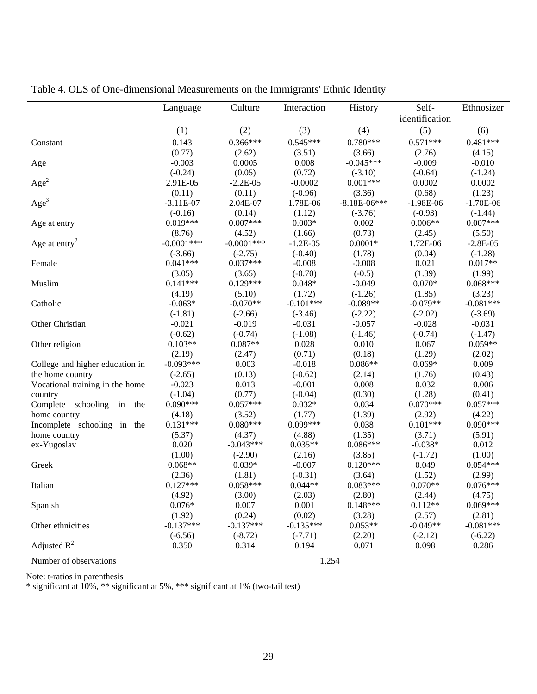|                                 | Language              | Culture               | Interaction           | History               | Self-                 | Ethnosizer             |
|---------------------------------|-----------------------|-----------------------|-----------------------|-----------------------|-----------------------|------------------------|
|                                 | (1)                   | (2)                   | (3)                   | (4)                   | identification<br>(5) | (6)                    |
| Constant                        | 0.143                 | $0.366***$            | $0.545***$            | $0.780***$            | $0.571***$            | $0.481***$             |
|                                 | (0.77)                | (2.62)                | (3.51)                | (3.66)                | (2.76)                | (4.15)                 |
| Age                             | $-0.003$              | 0.0005                | 0.008                 | $-0.045***$           | $-0.009$              | $-0.010$               |
|                                 | $(-0.24)$             | (0.05)                | (0.72)                | $(-3.10)$             | $(-0.64)$             | $(-1.24)$              |
| Age <sup>2</sup>                | 2.91E-05              | $-2.2E-05$            | $-0.0002$             | $0.001***$            | 0.0002                | 0.0002                 |
|                                 | (0.11)                | (0.11)                | $(-0.96)$             | (3.36)                | (0.68)                | (1.23)                 |
| Age <sup>3</sup>                | $-3.11E-07$           | 2.04E-07              | 1.78E-06              | $-8.18E-06***$        | $-1.98E-06$           | $-1.70E-06$            |
|                                 | $(-0.16)$             | (0.14)                | (1.12)                | $(-3.76)$             | $(-0.93)$             | $(-1.44)$              |
| Age at entry                    | $0.019***$            | $0.007***$            | $0.003*$              | 0.002                 | $0.006**$             | $0.007***$             |
|                                 | (8.76)                | (4.52)                | (1.66)                | (0.73)                | (2.45)                | (5.50)                 |
| Age at entry <sup>2</sup>       | $-0.0001***$          | $-0.0001$ ***         | $-1.2E-05$            | $0.0001*$             | 1.72E-06              | $-2.8E-05$             |
|                                 | $(-3.66)$             | $(-2.75)$             | $(-0.40)$             | (1.78)                | (0.04)                | $(-1.28)$              |
| Female                          | $0.041***$            | $0.037***$            | $-0.008$              | $-0.008$              | 0.021                 | $0.017**$              |
|                                 | (3.05)                | (3.65)                | $(-0.70)$             | $(-0.5)$              | (1.39)                | (1.99)                 |
| Muslim                          | $0.141***$            | $0.129***$            | $0.048*$              | $-0.049$              | $0.070*$              | $0.068***$             |
|                                 | (4.19)                | (5.10)                | (1.72)                | $(-1.26)$             | (1.85)                | (3.23)                 |
| Catholic                        | $-0.063*$             | $-0.070**$            | $-0.101***$           | $-0.089**$            | $-0.079**$            | $-0.081***$            |
|                                 | $(-1.81)$             | $(-2.66)$             | $(-3.46)$             | $(-2.22)$             | $(-2.02)$             | $(-3.69)$              |
| Other Christian                 | $-0.021$<br>$(-0.62)$ | $-0.019$<br>$(-0.74)$ | $-0.031$<br>$(-1.08)$ | $-0.057$<br>$(-1.46)$ | $-0.028$<br>$(-0.74)$ | $-0.031$               |
| Other religion                  | $0.103**$             | $0.087**$             | 0.028                 | 0.010                 | 0.067                 | $(-1.47)$<br>$0.059**$ |
|                                 | (2.19)                | (2.47)                | (0.71)                | (0.18)                | (1.29)                | (2.02)                 |
| College and higher education in | $-0.093***$           | 0.003                 | $-0.018$              | $0.086**$             | $0.069*$              | 0.009                  |
| the home country                | $(-2.65)$             | (0.13)                | $(-0.62)$             | (2.14)                | (1.76)                | (0.43)                 |
| Vocational training in the home | $-0.023$              | 0.013                 | $-0.001$              | 0.008                 | 0.032                 | 0.006                  |
| country                         | $(-1.04)$             | (0.77)                | $(-0.04)$             | (0.30)                | (1.28)                | (0.41)                 |
| Complete schooling<br>the<br>in | $0.090***$            | $0.057***$            | $0.032*$              | 0.034                 | $0.070***$            | $0.057***$             |
| home country                    | (4.18)                | (3.52)                | (1.77)                | (1.39)                | (2.92)                | (4.22)                 |
| Incomplete schooling in the     | $0.131***$            | $0.080***$            | 0.099***              | 0.038                 | $0.101***$            | $0.090***$             |
| home country                    | (5.37)                | (4.37)                | (4.88)                | (1.35)                | (3.71)                | (5.91)                 |
| ex-Yugoslav                     | 0.020                 | $-0.043***$           | $0.035**$             | $0.086***$            | $-0.038*$             | 0.012                  |
|                                 | (1.00)                | $(-2.90)$             | (2.16)                | (3.85)                | $(-1.72)$             | (1.00)                 |
| Greek                           | $0.068**$             | $0.039*$              | $-0.007$              | $0.120***$            | 0.049                 | $0.054***$             |
|                                 | (2.36)                | (1.81)                | $(-0.31)$             | (3.64)                | (1.52)                | (2.99)                 |
| Italian                         | $0.127***$            | $0.058***$            | $0.044**$             | $0.083***$            | $0.070**$             | $0.076***$             |
|                                 | (4.92)                | (3.00)                | (2.03)                | (2.80)                | (2.44)                | (4.75)                 |
| Spanish                         | $0.076*$              | 0.007                 | 0.001                 | $0.148***$            | $0.112**$             | $0.069***$             |
|                                 | (1.92)                | (0.24)                | (0.02)                | (3.28)                | (2.57)                | (2.81)                 |
| Other ethnicities               | $-0.137***$           | $-0.137***$           | $-0.135***$           | $0.053**$             | $-0.049**$            | $-0.081***$            |
|                                 | $(-6.56)$             | $(-8.72)$             | $(-7.71)$             | (2.20)                | $(-2.12)$             | $(-6.22)$              |
| Adjusted $R^2$                  | 0.350                 | 0.314                 | 0.194                 | 0.071                 | 0.098                 | 0.286                  |
| Number of observations          |                       |                       | 1,254                 |                       |                       |                        |

Table 4. OLS of One-dimensional Measurements on the Immigrants' Ethnic Identity

Note: t-ratios in parenthesis

\* significant at 10%, \*\* significant at 5%, \*\*\* significant at 1% (two-tail test)